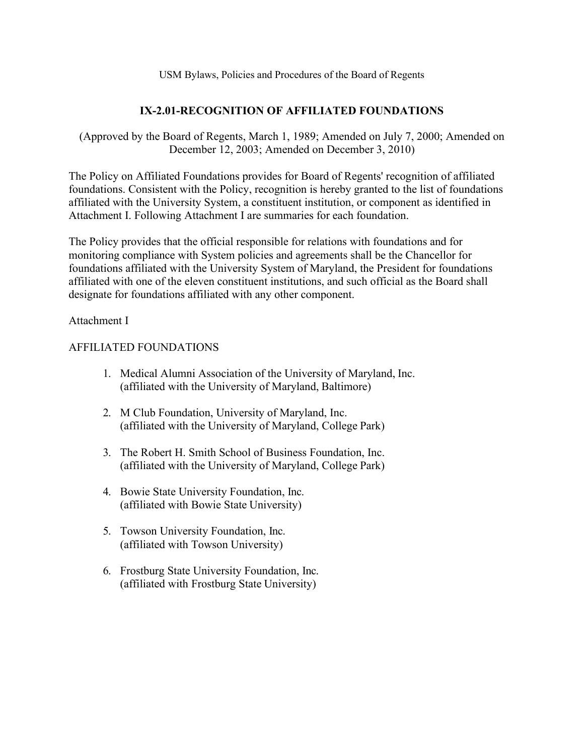# **IX-2.01-RECOGNITION OF AFFILIATED FOUNDATIONS**

(Approved by the Board of Regents, March 1, 1989; Amended on July 7, 2000; Amended on December 12, 2003; Amended on December 3, 2010)

The Policy on Affiliated Foundations provides for Board of Regents' recognition of affiliated foundations. Consistent with the Policy, recognition is hereby granted to the list of foundations affiliated with the University System, a constituent institution, or component as identified in Attachment I. Following Attachment I are summaries for each foundation.

The Policy provides that the official responsible for relations with foundations and for monitoring compliance with System policies and agreements shall be the Chancellor for foundations affiliated with the University System of Maryland, the President for foundations affiliated with one of the eleven constituent institutions, and such official as the Board shall designate for foundations affiliated with any other component.

Attachment I

## AFFILIATED FOUNDATIONS

- 1. Medical Alumni Association of the University of Maryland, Inc. (affiliated with the University of Maryland, Baltimore)
- 2. M Club Foundation, University of Maryland, Inc. (affiliated with the University of Maryland, College Park)
- 3. The Robert H. Smith School of Business Foundation, Inc. (affiliated with the University of Maryland, College Park)
- 4. Bowie State University Foundation, Inc. (affiliated with Bowie State University)
- 5. Towson University Foundation, Inc. (affiliated with Towson University)
- 6. Frostburg State University Foundation, Inc. (affiliated with Frostburg State University)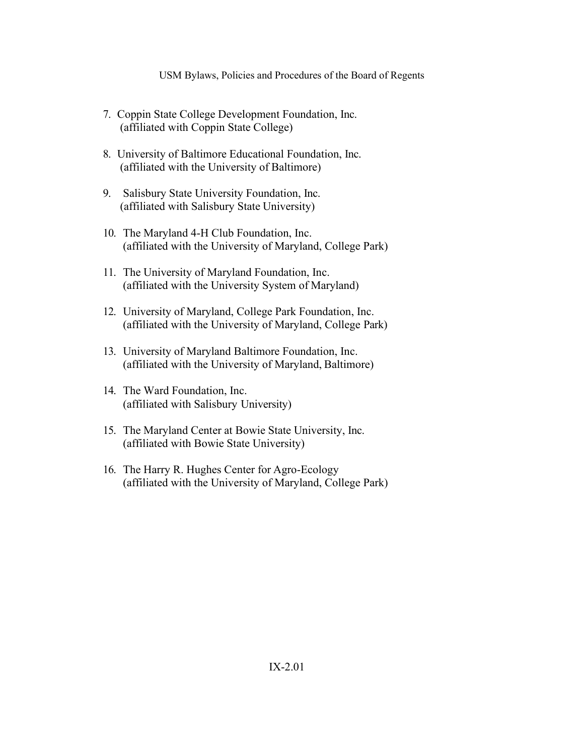- 7. Coppin State College Development Foundation, Inc. (affiliated with Coppin State College)
- 8. University of Baltimore Educational Foundation, Inc. (affiliated with the University of Baltimore)
- 9. Salisbury State University Foundation, Inc. (affiliated with Salisbury State University)
- 10. The Maryland 4-H Club Foundation, Inc. (affiliated with the University of Maryland, College Park)
- 11. The University of Maryland Foundation, Inc. (affiliated with the University System of Maryland)
- 12. University of Maryland, College Park Foundation, Inc. (affiliated with the University of Maryland, College Park)
- 13. University of Maryland Baltimore Foundation, Inc. (affiliated with the University of Maryland, Baltimore)
- 14. The Ward Foundation, Inc. (affiliated with Salisbury University)
- 15. The Maryland Center at Bowie State University, Inc. (affiliated with Bowie State University)
- 16. The Harry R. Hughes Center for Agro-Ecology (affiliated with the University of Maryland, College Park)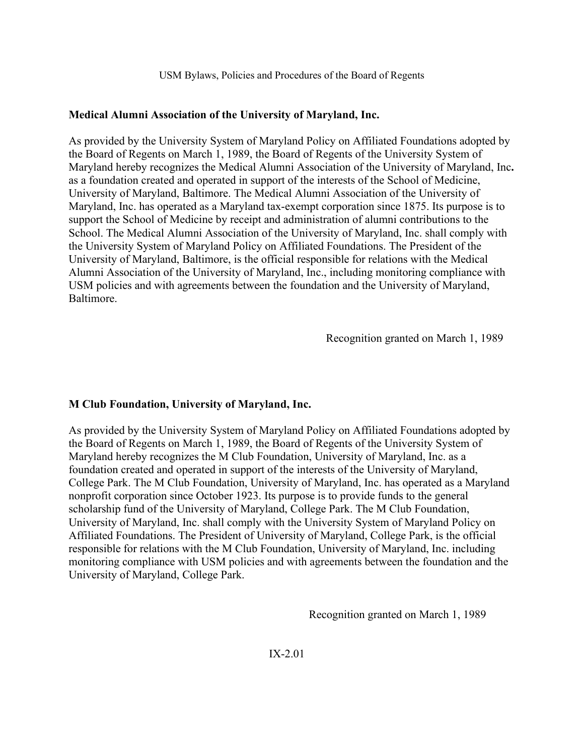## **Medical Alumni Association of the University of Maryland, Inc.**

As provided by the University System of Maryland Policy on Affiliated Foundations adopted by the Board of Regents on March 1, 1989, the Board of Regents of the University System of Maryland hereby recognizes the Medical Alumni Association of the University of Maryland, Inc**.**  as a foundation created and operated in support of the interests of the School of Medicine, University of Maryland, Baltimore. The Medical Alumni Association of the University of Maryland, Inc. has operated as a Maryland tax-exempt corporation since 1875. Its purpose is to support the School of Medicine by receipt and administration of alumni contributions to the School. The Medical Alumni Association of the University of Maryland, Inc. shall comply with the University System of Maryland Policy on Affiliated Foundations. The President of the University of Maryland, Baltimore, is the official responsible for relations with the Medical Alumni Association of the University of Maryland, Inc., including monitoring compliance with USM policies and with agreements between the foundation and the University of Maryland, Baltimore.

Recognition granted on March 1, 1989

# **M Club Foundation, University of Maryland, Inc.**

As provided by the University System of Maryland Policy on Affiliated Foundations adopted by the Board of Regents on March 1, 1989, the Board of Regents of the University System of Maryland hereby recognizes the M Club Foundation, University of Maryland, Inc. as a foundation created and operated in support of the interests of the University of Maryland, College Park. The M Club Foundation, University of Maryland, Inc. has operated as a Maryland nonprofit corporation since October 1923. Its purpose is to provide funds to the general scholarship fund of the University of Maryland, College Park. The M Club Foundation, University of Maryland, Inc. shall comply with the University System of Maryland Policy on Affiliated Foundations. The President of University of Maryland, College Park, is the official responsible for relations with the M Club Foundation, University of Maryland, Inc. including monitoring compliance with USM policies and with agreements between the foundation and the University of Maryland, College Park.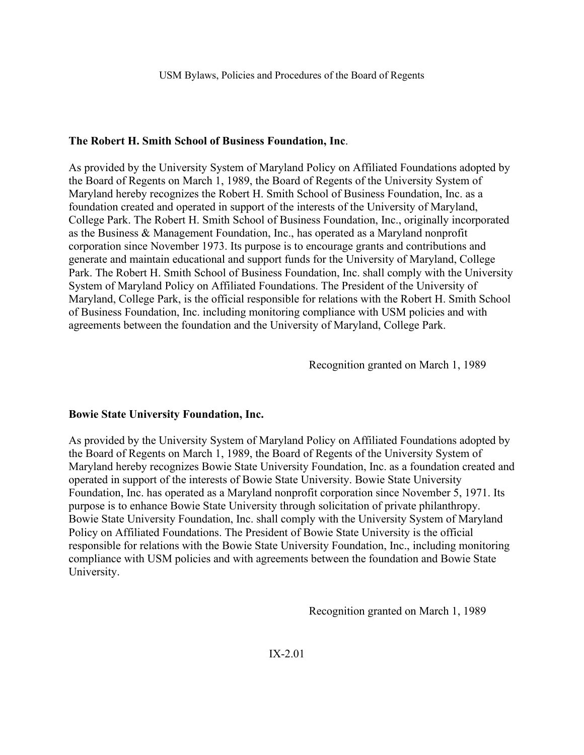## **The Robert H. Smith School of Business Foundation, Inc**.

As provided by the University System of Maryland Policy on Affiliated Foundations adopted by the Board of Regents on March 1, 1989, the Board of Regents of the University System of Maryland hereby recognizes the Robert H. Smith School of Business Foundation, Inc. as a foundation created and operated in support of the interests of the University of Maryland, College Park. The Robert H. Smith School of Business Foundation, Inc., originally incorporated as the Business & Management Foundation, Inc., has operated as a Maryland nonprofit corporation since November 1973. Its purpose is to encourage grants and contributions and generate and maintain educational and support funds for the University of Maryland, College Park. The Robert H. Smith School of Business Foundation, Inc. shall comply with the University System of Maryland Policy on Affiliated Foundations. The President of the University of Maryland, College Park, is the official responsible for relations with the Robert H. Smith School of Business Foundation, Inc. including monitoring compliance with USM policies and with agreements between the foundation and the University of Maryland, College Park.

Recognition granted on March 1, 1989

## **Bowie State University Foundation, Inc.**

As provided by the University System of Maryland Policy on Affiliated Foundations adopted by the Board of Regents on March 1, 1989, the Board of Regents of the University System of Maryland hereby recognizes Bowie State University Foundation, Inc. as a foundation created and operated in support of the interests of Bowie State University. Bowie State University Foundation, Inc. has operated as a Maryland nonprofit corporation since November 5, 1971. Its purpose is to enhance Bowie State University through solicitation of private philanthropy. Bowie State University Foundation, Inc. shall comply with the University System of Maryland Policy on Affiliated Foundations. The President of Bowie State University is the official responsible for relations with the Bowie State University Foundation, Inc., including monitoring compliance with USM policies and with agreements between the foundation and Bowie State University.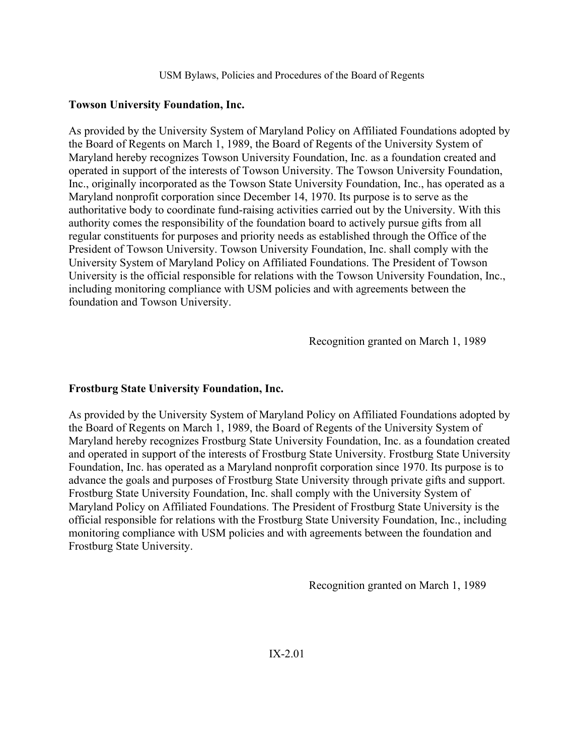## **Towson University Foundation, Inc.**

As provided by the University System of Maryland Policy on Affiliated Foundations adopted by the Board of Regents on March 1, 1989, the Board of Regents of the University System of Maryland hereby recognizes Towson University Foundation, Inc. as a foundation created and operated in support of the interests of Towson University. The Towson University Foundation, Inc., originally incorporated as the Towson State University Foundation, Inc., has operated as a Maryland nonprofit corporation since December 14, 1970. Its purpose is to serve as the authoritative body to coordinate fund-raising activities carried out by the University. With this authority comes the responsibility of the foundation board to actively pursue gifts from all regular constituents for purposes and priority needs as established through the Office of the President of Towson University. Towson University Foundation, Inc. shall comply with the University System of Maryland Policy on Affiliated Foundations. The President of Towson University is the official responsible for relations with the Towson University Foundation, Inc., including monitoring compliance with USM policies and with agreements between the foundation and Towson University.

Recognition granted on March 1, 1989

# **Frostburg State University Foundation, Inc.**

As provided by the University System of Maryland Policy on Affiliated Foundations adopted by the Board of Regents on March 1, 1989, the Board of Regents of the University System of Maryland hereby recognizes Frostburg State University Foundation, Inc. as a foundation created and operated in support of the interests of Frostburg State University. Frostburg State University Foundation, Inc. has operated as a Maryland nonprofit corporation since 1970. Its purpose is to advance the goals and purposes of Frostburg State University through private gifts and support. Frostburg State University Foundation, Inc. shall comply with the University System of Maryland Policy on Affiliated Foundations. The President of Frostburg State University is the official responsible for relations with the Frostburg State University Foundation, Inc., including monitoring compliance with USM policies and with agreements between the foundation and Frostburg State University.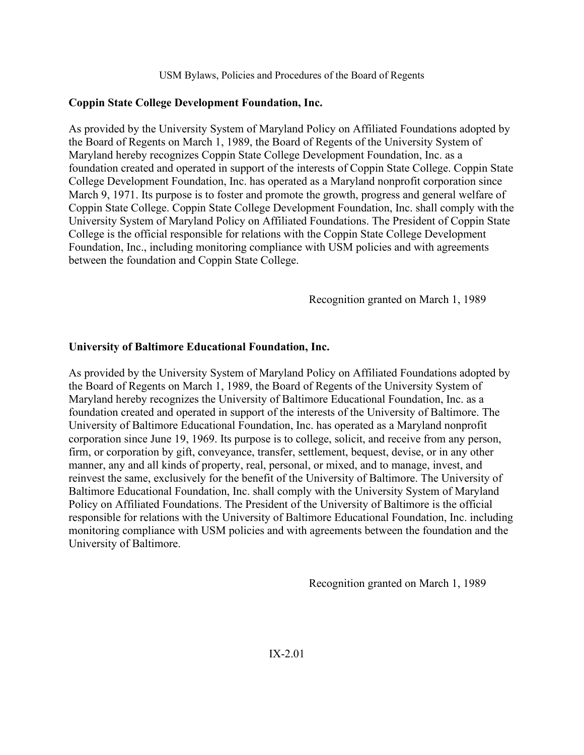# **Coppin State College Development Foundation, Inc.**

As provided by the University System of Maryland Policy on Affiliated Foundations adopted by the Board of Regents on March 1, 1989, the Board of Regents of the University System of Maryland hereby recognizes Coppin State College Development Foundation, Inc. as a foundation created and operated in support of the interests of Coppin State College. Coppin State College Development Foundation, Inc. has operated as a Maryland nonprofit corporation since March 9, 1971. Its purpose is to foster and promote the growth, progress and general welfare of Coppin State College. Coppin State College Development Foundation, Inc. shall comply with the University System of Maryland Policy on Affiliated Foundations. The President of Coppin State College is the official responsible for relations with the Coppin State College Development Foundation, Inc., including monitoring compliance with USM policies and with agreements between the foundation and Coppin State College.

Recognition granted on March 1, 1989

## **University of Baltimore Educational Foundation, Inc.**

As provided by the University System of Maryland Policy on Affiliated Foundations adopted by the Board of Regents on March 1, 1989, the Board of Regents of the University System of Maryland hereby recognizes the University of Baltimore Educational Foundation, Inc. as a foundation created and operated in support of the interests of the University of Baltimore. The University of Baltimore Educational Foundation, Inc. has operated as a Maryland nonprofit corporation since June 19, 1969. Its purpose is to college, solicit, and receive from any person, firm, or corporation by gift, conveyance, transfer, settlement, bequest, devise, or in any other manner, any and all kinds of property, real, personal, or mixed, and to manage, invest, and reinvest the same, exclusively for the benefit of the University of Baltimore. The University of Baltimore Educational Foundation, Inc. shall comply with the University System of Maryland Policy on Affiliated Foundations. The President of the University of Baltimore is the official responsible for relations with the University of Baltimore Educational Foundation, Inc. including monitoring compliance with USM policies and with agreements between the foundation and the University of Baltimore.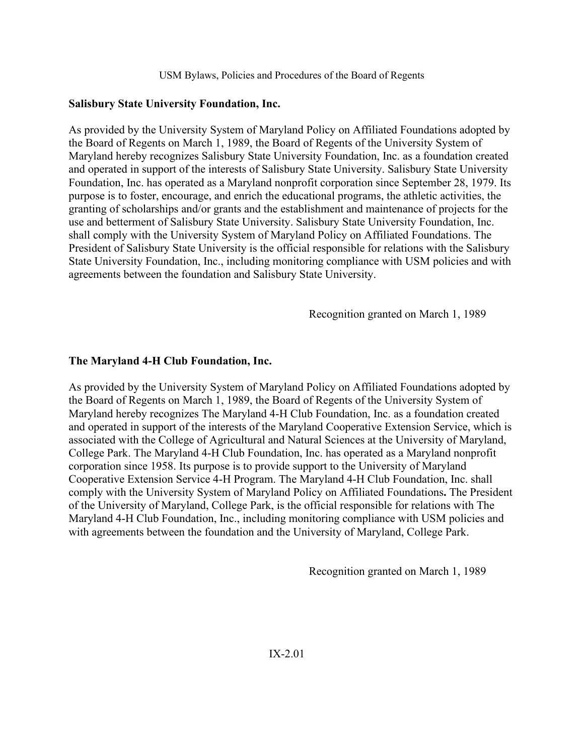## **Salisbury State University Foundation, Inc.**

As provided by the University System of Maryland Policy on Affiliated Foundations adopted by the Board of Regents on March 1, 1989, the Board of Regents of the University System of Maryland hereby recognizes Salisbury State University Foundation, Inc. as a foundation created and operated in support of the interests of Salisbury State University. Salisbury State University Foundation, Inc. has operated as a Maryland nonprofit corporation since September 28, 1979. Its purpose is to foster, encourage, and enrich the educational programs, the athletic activities, the granting of scholarships and/or grants and the establishment and maintenance of projects for the use and betterment of Salisbury State University. Salisbury State University Foundation, Inc. shall comply with the University System of Maryland Policy on Affiliated Foundations. The President of Salisbury State University is the official responsible for relations with the Salisbury State University Foundation, Inc., including monitoring compliance with USM policies and with agreements between the foundation and Salisbury State University.

Recognition granted on March 1, 1989

## **The Maryland 4-H Club Foundation, Inc.**

As provided by the University System of Maryland Policy on Affiliated Foundations adopted by the Board of Regents on March 1, 1989, the Board of Regents of the University System of Maryland hereby recognizes The Maryland 4-H Club Foundation, Inc. as a foundation created and operated in support of the interests of the Maryland Cooperative Extension Service, which is associated with the College of Agricultural and Natural Sciences at the University of Maryland, College Park. The Maryland 4-H Club Foundation, Inc. has operated as a Maryland nonprofit corporation since 1958. Its purpose is to provide support to the University of Maryland Cooperative Extension Service 4-H Program. The Maryland 4-H Club Foundation, Inc. shall comply with the University System of Maryland Policy on Affiliated Foundations**.** The President of the University of Maryland, College Park, is the official responsible for relations with The Maryland 4-H Club Foundation, Inc., including monitoring compliance with USM policies and with agreements between the foundation and the University of Maryland, College Park.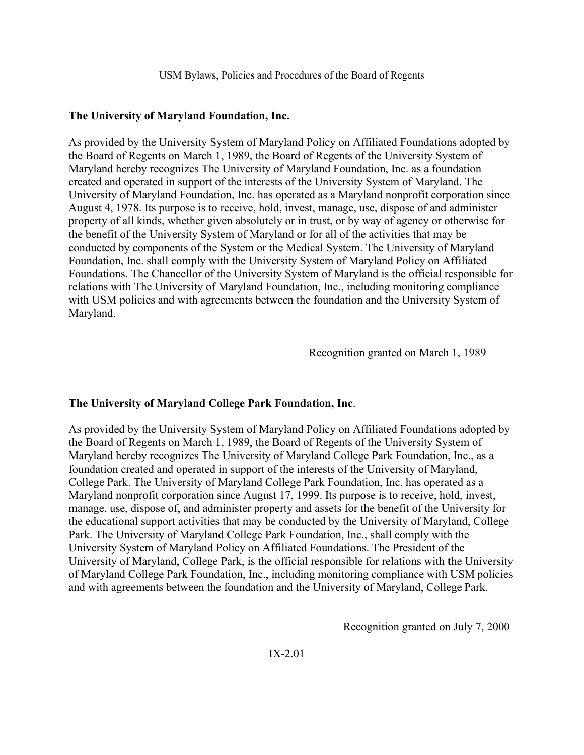#### **The University of Maryland Foundation, Inc.**

As provided by the University System of Maryland Policy on Affiliated Foundations adopted by the Board of Regents on March 1, 1989, the Board of Regents of the University System of Maryland hereby recognizes The University of Maryland Foundation, Inc. as a foundation created and operated in support of the interests of the University System of Maryland. The University of Maryland Foundation, Inc. has operated as a Maryland nonprofit corporation since August 4, 1978. Its purpose is to receive, hold, invest, manage, use, dispose of and administer property of all kinds, whether given absolutely or in trust, or by way of agency or otherwise for the benefit of the University System of Maryland or for all of the activities that may be conducted by components of the System or the Medical System. The University of Maryland Foundation, Inc. shall comply with the University System of Maryland Policy on Affiliated Foundations. The Chancellor of the University System of Maryland is the official responsible for relations with The University of Maryland Foundation, Inc., including monitoring compliance with USM policies and with agreements between the foundation and the University System of Maryland.

Recognition granted on March 1, 1989

## **The University of Maryland College Park Foundation, Inc**.

As provided by the University System of Maryland Policy on Affiliated Foundations adopted by the Board of Regents on March 1, 1989, the Board of Regents of the University System of Maryland hereby recognizes The University of Maryland College Park Foundation, Inc., as a foundation created and operated in support of the interests of the University of Maryland, College Park. The University of Maryland College Park Foundation, Inc. has operated as a Maryland nonprofit corporation since August 17, 1999. Its purpose is to receive, hold, invest, manage, use, dispose of, and administer property and assets for the benefit of the University for the educational support activities that may be conducted by the University of Maryland, College Park. The University of Maryland College Park Foundation, Inc., shall comply with the University System of Maryland Policy on Affiliated Foundations. The President of the University of Maryland, College Park, is the official responsible for relations with **t**he University of Maryland College Park Foundation, Inc., including monitoring compliance with USM policies and with agreements between the foundation and the University of Maryland, College Park.

Recognition granted on July 7, 2000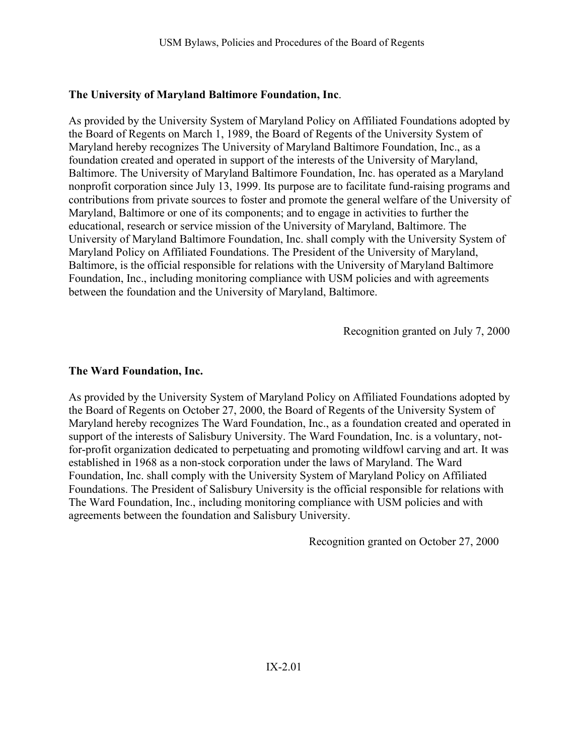# **The University of Maryland Baltimore Foundation, Inc**.

As provided by the University System of Maryland Policy on Affiliated Foundations adopted by the Board of Regents on March 1, 1989, the Board of Regents of the University System of Maryland hereby recognizes The University of Maryland Baltimore Foundation, Inc., as a foundation created and operated in support of the interests of the University of Maryland, Baltimore. The University of Maryland Baltimore Foundation, Inc. has operated as a Maryland nonprofit corporation since July 13, 1999. Its purpose are to facilitate fund-raising programs and contributions from private sources to foster and promote the general welfare of the University of Maryland, Baltimore or one of its components; and to engage in activities to further the educational, research or service mission of the University of Maryland, Baltimore. The University of Maryland Baltimore Foundation, Inc. shall comply with the University System of Maryland Policy on Affiliated Foundations. The President of the University of Maryland, Baltimore, is the official responsible for relations with the University of Maryland Baltimore Foundation, Inc., including monitoring compliance with USM policies and with agreements between the foundation and the University of Maryland, Baltimore.

Recognition granted on July 7, 2000

# **The Ward Foundation, Inc.**

As provided by the University System of Maryland Policy on Affiliated Foundations adopted by the Board of Regents on October 27, 2000, the Board of Regents of the University System of Maryland hereby recognizes The Ward Foundation, Inc., as a foundation created and operated in support of the interests of Salisbury University. The Ward Foundation, Inc. is a voluntary, notfor-profit organization dedicated to perpetuating and promoting wildfowl carving and art. It was established in 1968 as a non-stock corporation under the laws of Maryland. The Ward Foundation, Inc. shall comply with the University System of Maryland Policy on Affiliated Foundations. The President of Salisbury University is the official responsible for relations with The Ward Foundation, Inc., including monitoring compliance with USM policies and with agreements between the foundation and Salisbury University.

Recognition granted on October 27, 2000